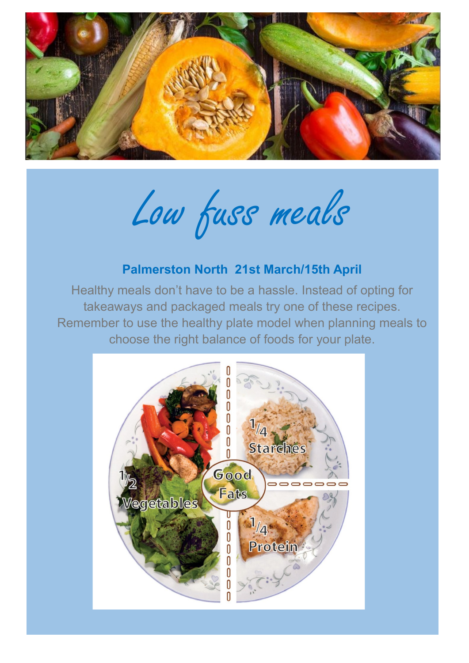

Low fuss meals

## **Palmerston North 21st March/15th April**

Healthy meals don't have to be a hassle. Instead of opting for takeaways and packaged meals try one of these recipes. Remember to use the healthy plate model when planning meals to choose the right balance of foods for your plate.

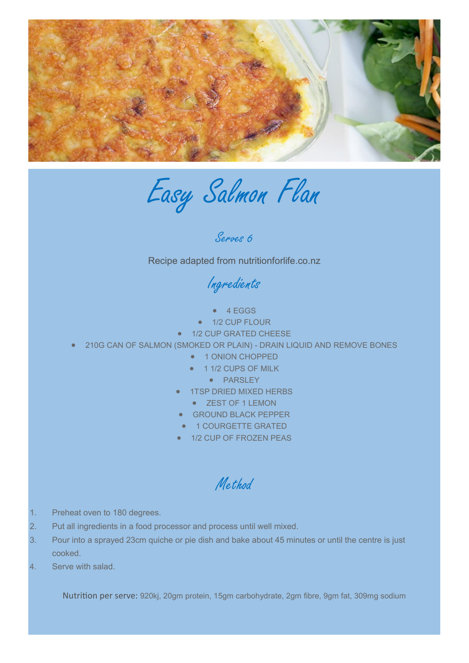

Easy Salmon Flan

Serves 6

Recipe adapted from nutritionforlife.co.nz

Ingredients

- $-4 EGGS$
- 1/2 CUP FLOUR
- 1/2 CUP GRATED CHEESE
- 210G CAN OF SALMON (SMOKED OR PLAIN) DRAIN LIQUID AND REMOVE BONES
	- **1 ONION CHOPPED**
	- **1 1/2 CUPS OF MILK** 
		- PARSLEY
	- 1TSP DRIED MIXED HERBS
		- ZEST OF 1 LEMON
	- GROUND BLACK PEPPER
	- **1 COURGETTE GRATED**
	- 1/2 CUP OF FROZEN PEAS

Method

- 1. Preheat oven to 180 degrees.
- 2. Put all ingredients in a food processor and process until well mixed.
- 3. Pour into a sprayed 23cm quiche or pie dish and bake about 45 minutes or until the centre is just cooked.
- 4. Serve with salad.

Nutrition per serve: 920kj, 20gm protein, 15gm carbohydrate, 2gm fibre, 9gm fat, 309mg sodium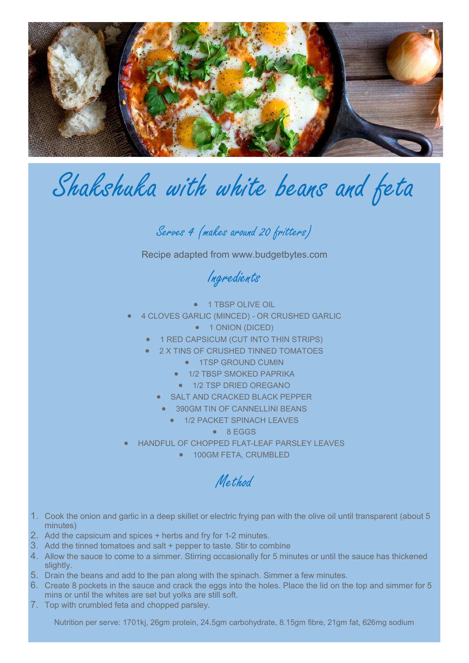

## Shakshuka with white beans and feta

Serves 4 (makes around 20 fritters)

Recipe adapted from www.budgetbytes.com

Ingredients

- 1 TBSP OLIVE OIL
- 4 CLOVES GARLIC (MINCED) OR CRUSHED GARLIC
	- $\bullet$  1 ONION (DICED)
	- 1 RED CAPSICUM (CUT INTO THIN STRIPS)
	- 2 X TINS OF CRUSHED TINNED TOMATOES
		- **1TSP GROUND CUMIN**
		- **1/2 TBSP SMOKED PAPRIKA**
		- $\bullet$  1/2 TSP DRIED OREGANO
		- SALT AND CRACKED BLACK PEPPER
		- 390GM TIN OF CANNELLINI BEANS
			- **1/2 PACKET SPINACH LEAVES** 
				- 8 EGGS
- HANDFUL OF CHOPPED FLAT-LEAF PARSLEY LEAVES
	- **100GM FETA, CRUMBLED**

Method

- 1. Cook the onion and garlic in a deep skillet or electric frying pan with the olive oil until transparent (about 5 minutes)
- 2. Add the capsicum and spices + herbs and fry for 1-2 minutes.
- 3. Add the tinned tomatoes and salt + pepper to taste. Stir to combine
- 4. Allow the sauce to come to a simmer. Stirring occasionally for 5 minutes or until the sauce has thickened slightly.
- 5. Drain the beans and add to the pan along with the spinach. Simmer a few minutes.
- 6. Create 8 pockets in the sauce and crack the eggs into the holes. Place the lid on the top and simmer for 5 mins or until the whites are set but yolks are still soft.
- 7. Top with crumbled feta and chopped parsley.

Nutrition per serve: 1701kj, 26gm protein, 24.5gm carbohydrate, 8.15gm fibre, 21gm fat, 626mg sodium